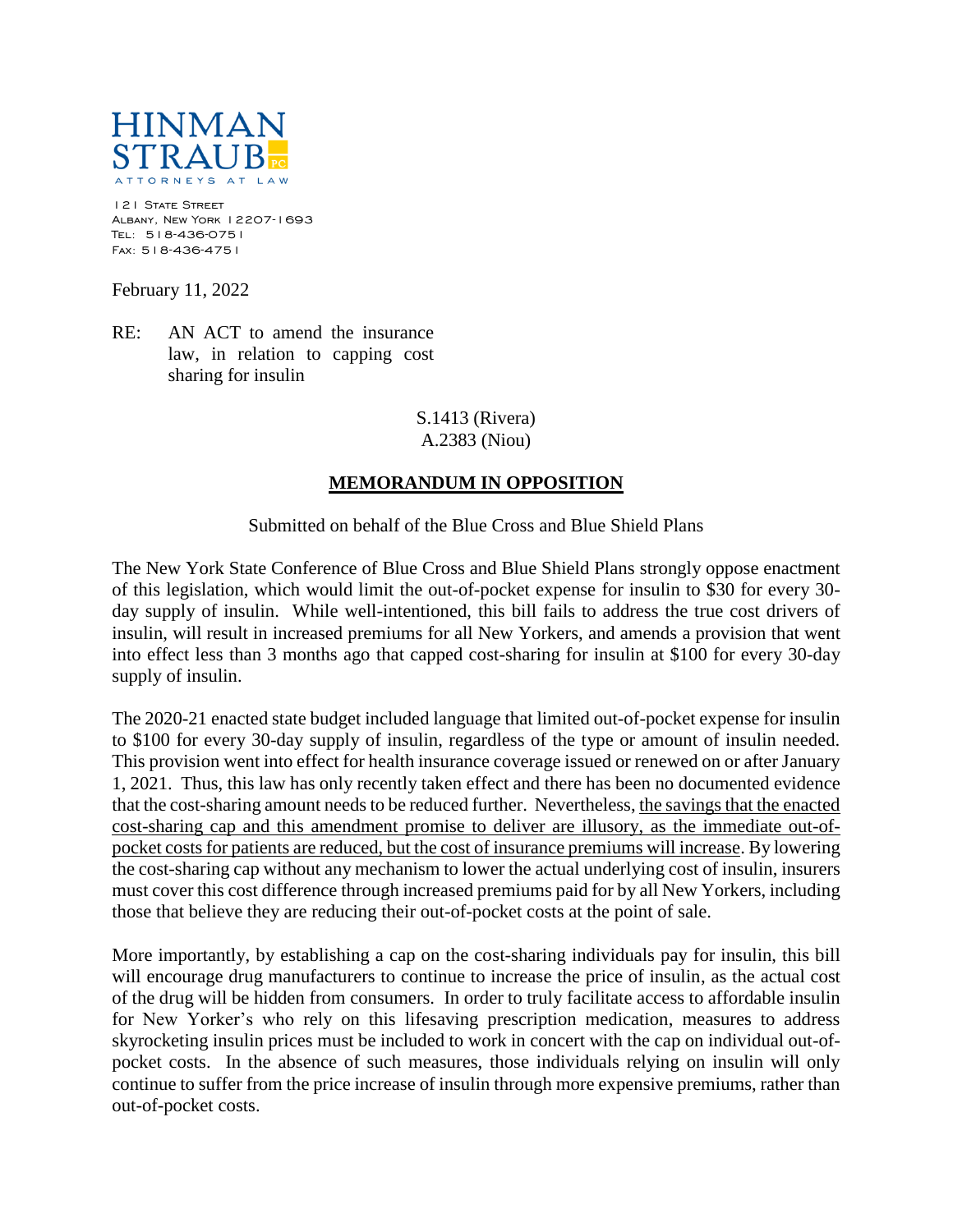

121 STATE STREET Albany, New York 12207-1693 Tel: 518-436-0751 Fax: 518-436-4751

February 11, 2022

RE: AN ACT to amend the insurance law, in relation to capping cost sharing for insulin

> S.1413 (Rivera) A.2383 (Niou)

## **MEMORANDUM IN OPPOSITION**

Submitted on behalf of the Blue Cross and Blue Shield Plans

The New York State Conference of Blue Cross and Blue Shield Plans strongly oppose enactment of this legislation, which would limit the out-of-pocket expense for insulin to \$30 for every 30 day supply of insulin. While well-intentioned, this bill fails to address the true cost drivers of insulin, will result in increased premiums for all New Yorkers, and amends a provision that went into effect less than 3 months ago that capped cost-sharing for insulin at \$100 for every 30-day supply of insulin.

The 2020-21 enacted state budget included language that limited out-of-pocket expense for insulin to \$100 for every 30-day supply of insulin, regardless of the type or amount of insulin needed. This provision went into effect for health insurance coverage issued or renewed on or after January 1, 2021. Thus, this law has only recently taken effect and there has been no documented evidence that the cost-sharing amount needs to be reduced further. Nevertheless, the savings that the enacted cost-sharing cap and this amendment promise to deliver are illusory, as the immediate out-ofpocket costs for patients are reduced, but the cost of insurance premiums will increase. By lowering the cost-sharing cap without any mechanism to lower the actual underlying cost of insulin, insurers must cover this cost difference through increased premiums paid for by all New Yorkers, including those that believe they are reducing their out-of-pocket costs at the point of sale.

More importantly, by establishing a cap on the cost-sharing individuals pay for insulin, this bill will encourage drug manufacturers to continue to increase the price of insulin, as the actual cost of the drug will be hidden from consumers. In order to truly facilitate access to affordable insulin for New Yorker's who rely on this lifesaving prescription medication, measures to address skyrocketing insulin prices must be included to work in concert with the cap on individual out-ofpocket costs. In the absence of such measures, those individuals relying on insulin will only continue to suffer from the price increase of insulin through more expensive premiums, rather than out-of-pocket costs.